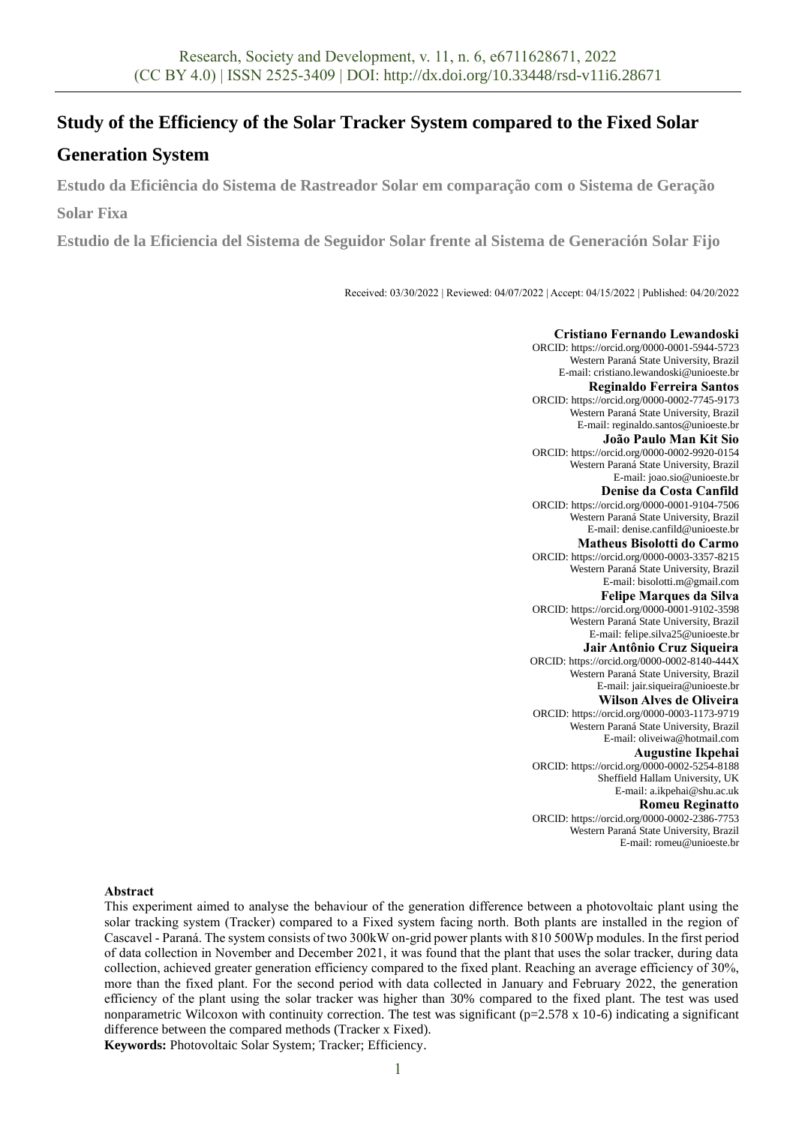# **Study of the Efficiency of the Solar Tracker System compared to the Fixed Solar**

## **Generation System**

**Estudo da Eficiência do Sistema de Rastreador Solar em comparação com o Sistema de Geração** 

**Solar Fixa**

**Estudio de la Eficiencia del Sistema de Seguidor Solar frente al Sistema de Generación Solar Fijo**

Received: 03/30/2022 | Reviewed: 04/07/2022 | Accept: 04/15/2022 | Published: 04/20/2022

**Cristiano Fernando Lewandoski** ORCID[: https://orcid.org/0000-0001-5944-5723](https://orcid.org/0000-0001-5944-5723) Western Paraná State University, Brazil E-mail: cristiano.lewandoski@unioeste.br **Reginaldo Ferreira Santos** ORCID[: https://orcid.org/0000-0002-7745-9173](https://orcid.org/0000-0002-7745-9173) Western Paraná State University, Brazil E-mail: reginaldo.santos@unioeste.br **João Paulo Man Kit Sio** ORCID[: https://orcid.org/0000-0002-9920-0154](https://orcid.org/0000-0002-9920-0154) Western Paraná State University, Brazil E-mail: joao.sio@unioeste.br **Denise da Costa Canfild** ORCID[: https://orcid.org/0000-0001-9104-7506](https://orcid.org/0000-0001-9104-7506) Western Paraná State University, Brazil E-mail: denise.canfild@unioeste.br **Matheus Bisolotti do Carmo** ORCID[: https://orcid.org/0000-0003-3357-8215](https://orcid.org/0000-0003-3357-8215) Western Paraná State University, Brazil E-mail: bisolotti.m@gmail.com **Felipe Marques da Silva** ORCID[: https://orcid.org/0000-0001-9102-3598](https://orcid.org/0000-0001-9102-3598) Western Paraná State University, Brazil E-mail: felipe.silva25@unioeste.br **Jair Antônio Cruz Siqueira** ORCID[: https://orcid.org/0000-0002-8140-444X](https://orcid.org/0000-0002-8140-444X) Western Paraná State University, Brazil E-mail: jair.siqueira@unioeste.br **Wilson Alves de Oliveira** ORCID: https://orcid.org/0000-0003-1173-9719 Western Paraná State University, Brazil E-mail[: oliveiwa@hotmail.com](mailto:oliveiwa@hotmail.com) **Augustine Ikpehai** ORCID[: https://orcid.org/0000-0002-5254-8188](https://orcid.org/0000-0002-5254-8188) Sheffield Hallam University, UK E-mail[: a.ikpehai@shu.ac.uk](mailto:a.ikpehai@shu.ac.uk) **Romeu Reginatto** ORCID[: https://orcid.org/0000-0002-2386-7753](https://orcid.org/0000-0002-2386-7753) Western Paraná State University, Brazil E-mail[: romeu@unioeste.br](mailto:romeu@unioeste.br)

## **Abstract**

This experiment aimed to analyse the behaviour of the generation difference between a photovoltaic plant using the solar tracking system (Tracker) compared to a Fixed system facing north. Both plants are installed in the region of Cascavel - Paraná. The system consists of two 300kW on-grid power plants with 810 500Wp modules. In the first period of data collection in November and December 2021, it was found that the plant that uses the solar tracker, during data collection, achieved greater generation efficiency compared to the fixed plant. Reaching an average efficiency of 30%, more than the fixed plant. For the second period with data collected in January and February 2022, the generation efficiency of the plant using the solar tracker was higher than 30% compared to the fixed plant. The test was used nonparametric Wilcoxon with continuity correction. The test was significant ( $p=2.578 \times 10^{-6}$ ) indicating a significant difference between the compared methods (Tracker x Fixed).

**Keywords:** Photovoltaic Solar System; Tracker; Efficiency.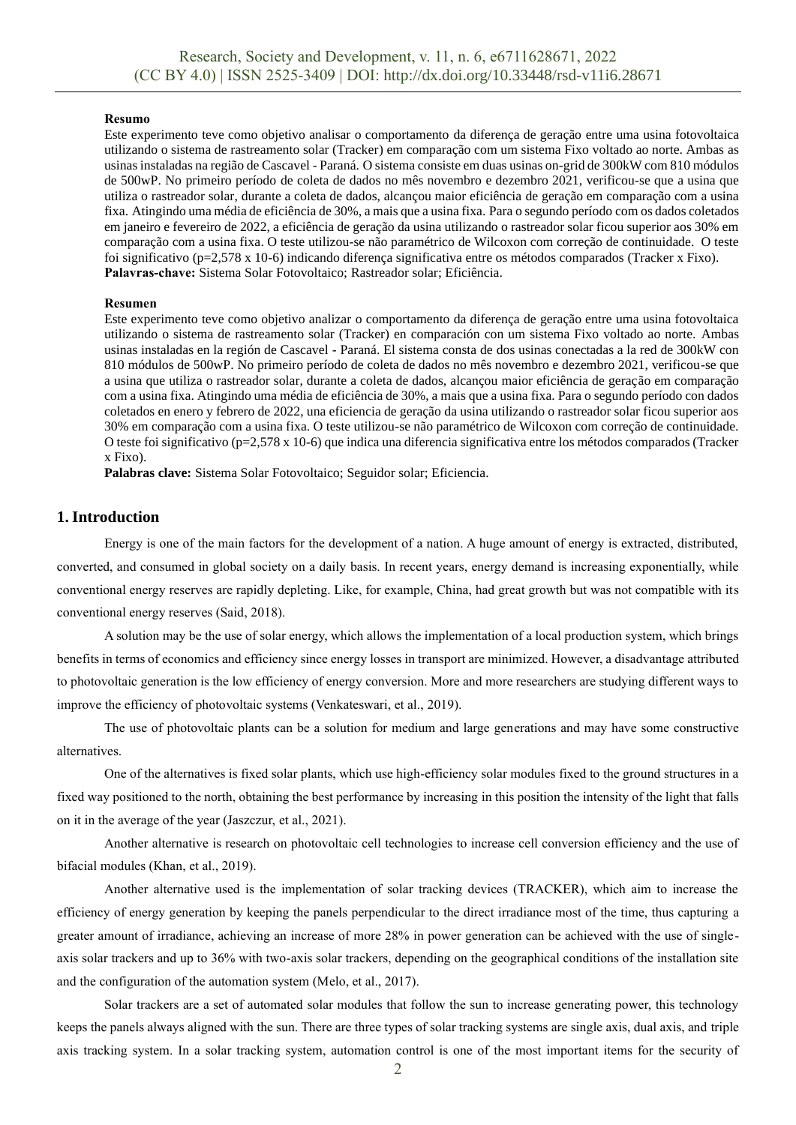#### **Resumo**

Este experimento teve como objetivo analisar o comportamento da diferença de geração entre uma usina fotovoltaica utilizando o sistema de rastreamento solar (Tracker) em comparação com um sistema Fixo voltado ao norte. Ambas as usinas instaladas na região de Cascavel - Paraná. O sistema consiste em duas usinas on-grid de 300kW com 810 módulos de 500wP. No primeiro período de coleta de dados no mês novembro e dezembro 2021, verificou-se que a usina que utiliza o rastreador solar, durante a coleta de dados, alcançou maior eficiência de geração em comparação com a usina fixa. Atingindo uma média de eficiência de 30%, a mais que a usina fixa. Para o segundo período com os dados coletados em janeiro e fevereiro de 2022, a eficiência de geração da usina utilizando o rastreador solar ficou superior aos 30% em comparação com a usina fixa. O teste utilizou-se não paramétrico de Wilcoxon com correção de continuidade. O teste foi significativo (p=2,578 x 10-6) indicando diferença significativa entre os métodos comparados (Tracker x Fixo). **Palavras-chave:** Sistema Solar Fotovoltaico; Rastreador solar; Eficiência.

#### **Resumen**

Este experimento teve como objetivo analizar o comportamento da diferença de geração entre uma usina fotovoltaica utilizando o sistema de rastreamento solar (Tracker) en comparación con um sistema Fixo voltado ao norte. Ambas usinas instaladas en la región de Cascavel - Paraná. El sistema consta de dos usinas conectadas a la red de 300kW con 810 módulos de 500wP. No primeiro período de coleta de dados no mês novembro e dezembro 2021, verificou-se que a usina que utiliza o rastreador solar, durante a coleta de dados, alcançou maior eficiência de geração em comparação com a usina fixa. Atingindo uma média de eficiência de 30%, a mais que a usina fixa. Para o segundo período con dados coletados en enero y febrero de 2022, una eficiencia de geração da usina utilizando o rastreador solar ficou superior aos 30% em comparação com a usina fixa. O teste utilizou-se não paramétrico de Wilcoxon com correção de continuidade. O teste foi significativo (p=2,578 x 10-6) que indica una diferencia significativa entre los métodos comparados (Tracker x Fixo).

**Palabras clave:** Sistema Solar Fotovoltaico; Seguidor solar; Eficiencia.

### **1. Introduction**

Energy is one of the main factors for the development of a nation. A huge amount of energy is extracted, distributed, converted, and consumed in global society on a daily basis. In recent years, energy demand is increasing exponentially, while conventional energy reserves are rapidly depleting. Like, for example, China, had great growth but was not compatible with its conventional energy reserves (Said, 2018).

A solution may be the use of solar energy, which allows the implementation of a local production system, which brings benefits in terms of economics and efficiency since energy losses in transport are minimized. However, a disadvantage attributed to photovoltaic generation is the low efficiency of energy conversion. More and more researchers are studying different ways to improve the efficiency of photovoltaic systems (Venkateswari, et al., 2019).

The use of photovoltaic plants can be a solution for medium and large generations and may have some constructive alternatives.

One of the alternatives is fixed solar plants, which use high-efficiency solar modules fixed to the ground structures in a fixed way positioned to the north, obtaining the best performance by increasing in this position the intensity of the light that falls on it in the average of the year (Jaszczur, et al., 2021).

Another alternative is research on photovoltaic cell technologies to increase cell conversion efficiency and the use of bifacial modules (Khan, et al., 2019).

Another alternative used is the implementation of solar tracking devices (TRACKER), which aim to increase the efficiency of energy generation by keeping the panels perpendicular to the direct irradiance most of the time, thus capturing a greater amount of irradiance, achieving an increase of more 28% in power generation can be achieved with the use of singleaxis solar trackers and up to 36% with two-axis solar trackers, depending on the geographical conditions of the installation site and the configuration of the automation system (Melo, et al., 2017).

Solar trackers are a set of automated solar modules that follow the sun to increase generating power, this technology keeps the panels always aligned with the sun. There are three types of solar tracking systems are single axis, dual axis, and triple axis tracking system. In a solar tracking system, automation control is one of the most important items for the security of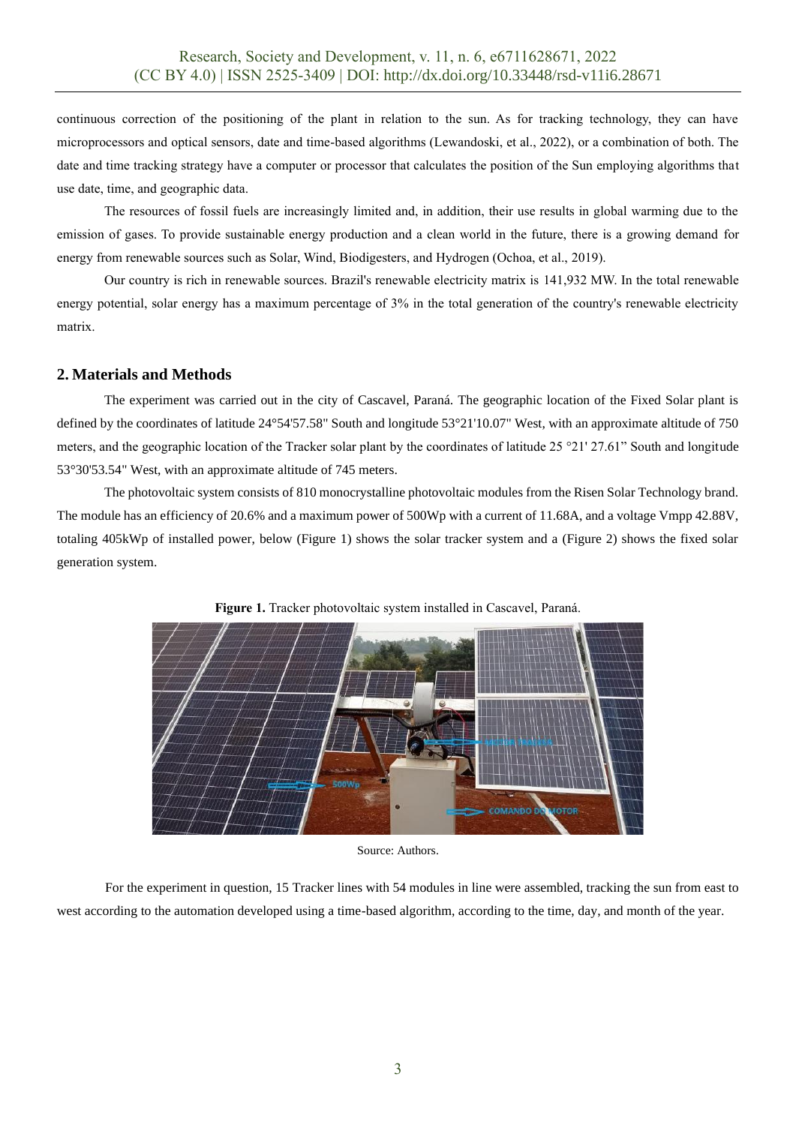continuous correction of the positioning of the plant in relation to the sun. As for tracking technology, they can have microprocessors and optical sensors, date and time-based algorithms (Lewandoski, et al., 2022), or a combination of both. The date and time tracking strategy have a computer or processor that calculates the position of the Sun employing algorithms that use date, time, and geographic data.

The resources of fossil fuels are increasingly limited and, in addition, their use results in global warming due to the emission of gases. To provide sustainable energy production and a clean world in the future, there is a growing demand for energy from renewable sources such as Solar, Wind, Biodigesters, and Hydrogen (Ochoa, et al., 2019).

Our country is rich in renewable sources. Brazil's renewable electricity matrix is 141,932 MW. In the total renewable energy potential, solar energy has a maximum percentage of 3% in the total generation of the country's renewable electricity matrix.

### **2. Materials and Methods**

The experiment was carried out in the city of Cascavel, Paraná. The geographic location of the Fixed Solar plant is defined by the coordinates of latitude 24°54'57.58" South and longitude 53°21'10.07" West, with an approximate altitude of 750 meters, and the geographic location of the Tracker solar plant by the coordinates of latitude 25 °21' 27.61" South and longitude 53°30'53.54" West, with an approximate altitude of 745 meters.

The photovoltaic system consists of 810 monocrystalline photovoltaic modules from the Risen Solar Technology brand. The module has an efficiency of 20.6% and a maximum power of 500Wp with a current of 11.68A, and a voltage Vmpp 42.88V, totaling 405kWp of installed power, below (Figure 1) shows the solar tracker system and a (Figure 2) shows the fixed solar generation system.



**Figure 1.** Tracker photovoltaic system installed in Cascavel, Paraná.

Source: Authors.

For the experiment in question, 15 Tracker lines with 54 modules in line were assembled, tracking the sun from east to west according to the automation developed using a time-based algorithm, according to the time, day, and month of the year.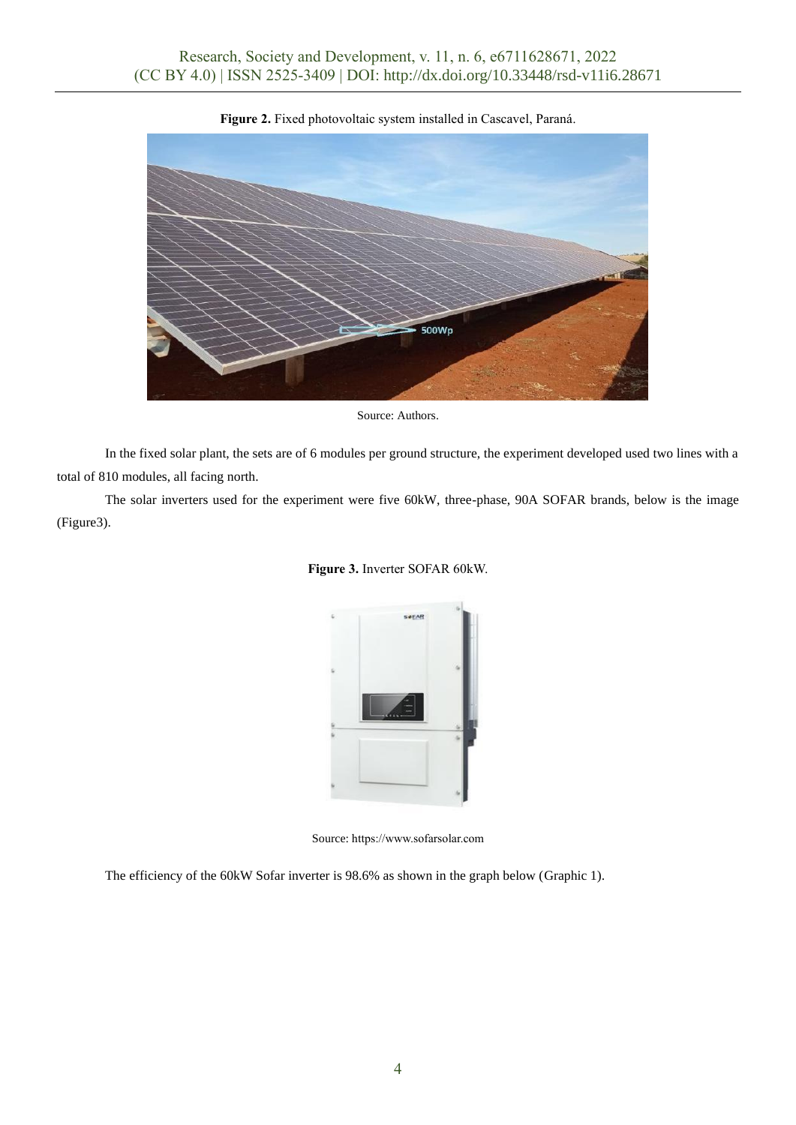

**Figure 2.** Fixed photovoltaic system installed in Cascavel, Paraná.

Source: Authors.

In the fixed solar plant, the sets are of 6 modules per ground structure, the experiment developed used two lines with a total of 810 modules, all facing north.

The solar inverters used for the experiment were five 60kW, three-phase, 90A SOFAR brands, below is the image (Figure3).



**Figure 3.** Inverter SOFAR 60kW.

Source: https://www.sofarsolar.com

The efficiency of the 60kW Sofar inverter is 98.6% as shown in the graph below (Graphic 1).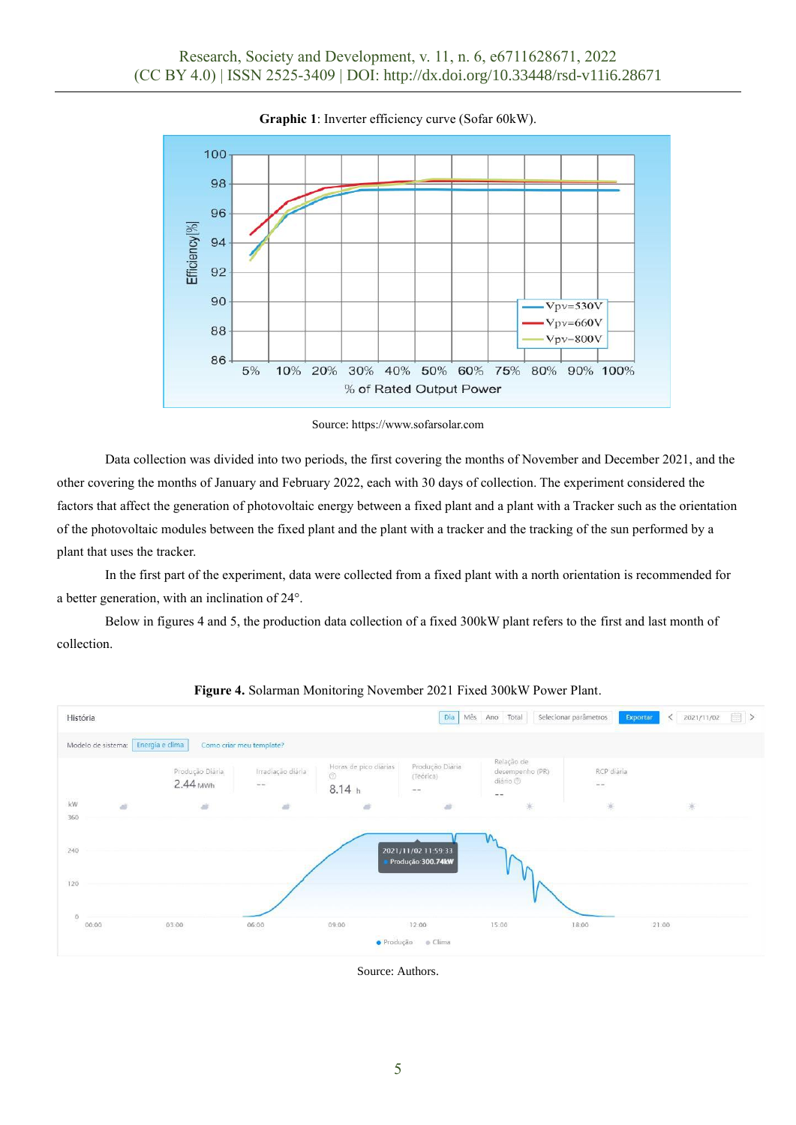

**Graphic 1**: Inverter efficiency curve (Sofar 60kW).

Source: [https://www.sofarsolar.com](https://www.sofarsolar.com/)

Data collection was divided into two periods, the first covering the months of November and December 2021, and the other covering the months of January and February 2022, each with 30 days of collection. The experiment considered the factors that affect the generation of photovoltaic energy between a fixed plant and a plant with a Tracker such as the orientation of the photovoltaic modules between the fixed plant and the plant with a tracker and the tracking of the sun performed by a plant that uses the tracker.

In the first part of the experiment, data were collected from a fixed plant with a north orientation is recommended for a better generation, with an inclination of 24°.

Below in figures 4 and 5, the production data collection of a fixed 300kW plant refers to the first and last month of collection.



**Figure 4.** Solarman Monitoring November 2021 Fixed 300kW Power Plant.

Source: Authors.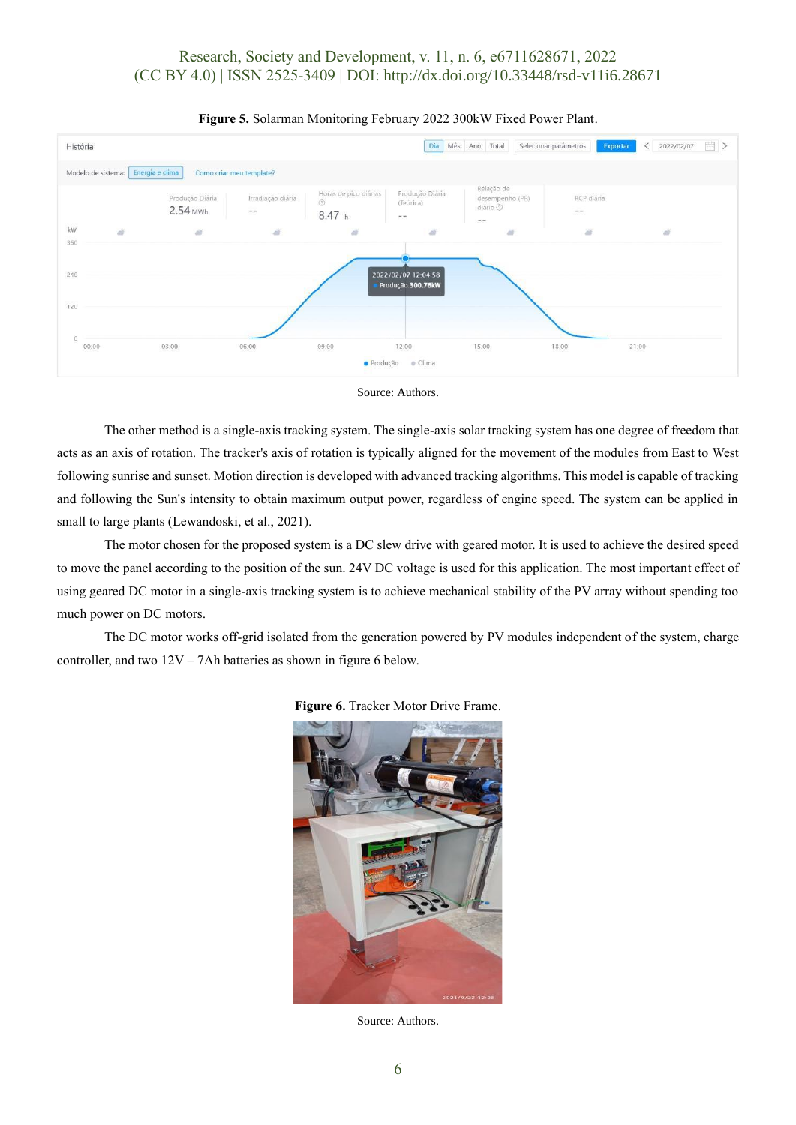

#### **Figure 5.** Solarman Monitoring February 2022 300kW Fixed Power Plant.



The other method is a single-axis tracking system. The single-axis solar tracking system has one degree of freedom that acts as an axis of rotation. The tracker's axis of rotation is typically aligned for the movement of the modules from East to West following sunrise and sunset. Motion direction is developed with advanced tracking algorithms. This model is capable of tracking and following the Sun's intensity to obtain maximum output power, regardless of engine speed. The system can be applied in small to large plants (Lewandoski, et al., 2021).

The motor chosen for the proposed system is a DC slew drive with geared motor. It is used to achieve the desired speed to move the panel according to the position of the sun. 24V DC voltage is used for this application. The most important effect of using geared DC motor in a single-axis tracking system is to achieve mechanical stability of the PV array without spending too much power on DC motors.

The DC motor works off-grid isolated from the generation powered by PV modules independent of the system, charge controller, and two 12V – 7Ah batteries as shown in figure 6 below.



**Figure 6.** Tracker Motor Drive Frame.

Source: Authors.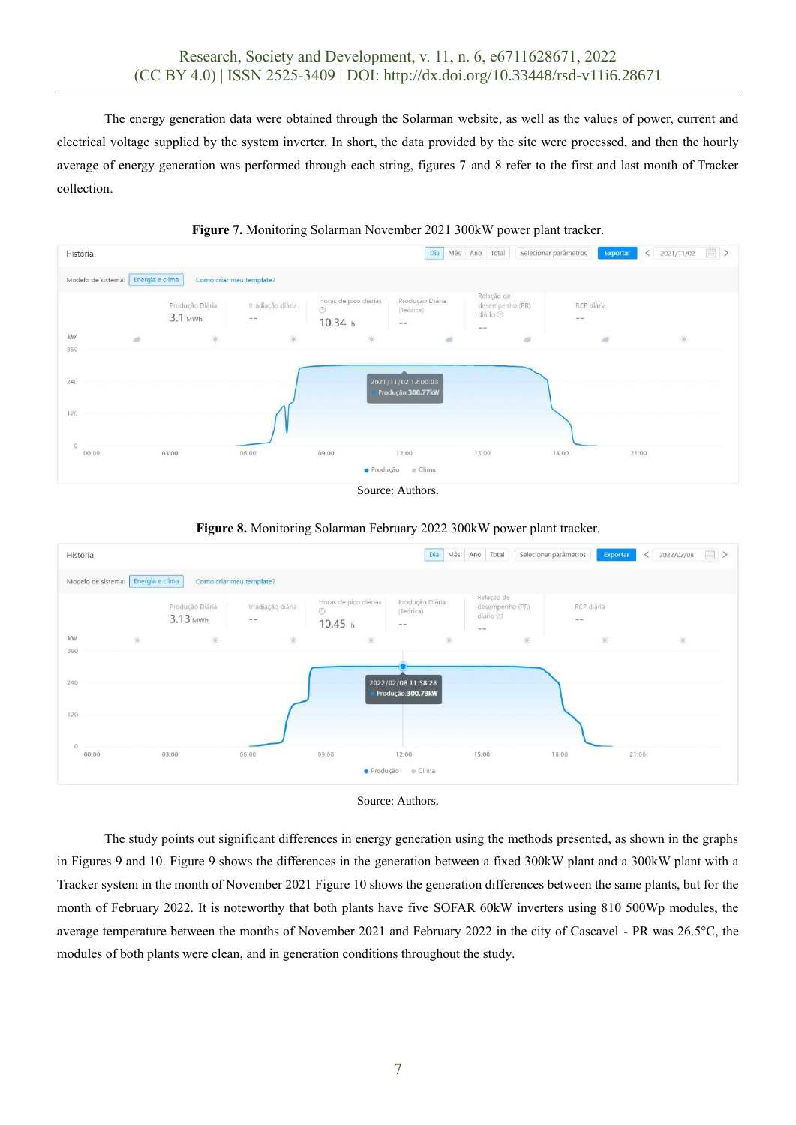The energy generation data were obtained through the Solarman website, as well as the values of power, current and electrical voltage supplied by the system inverter. In short, the data provided by the site were processed, and then the hourly average of energy generation was performed through each string, figures 7 and 8 refer to the first and last month of Tracker collection.



**Figure 7.** Monitoring Solarman November 2021 300kW power plant tracker.



## **Figure 8.** Monitoring Solarman February 2022 300kW power plant tracker.





The study points out significant differences in energy generation using the methods presented, as shown in the graphs in Figures 9 and 10. Figure 9 shows the differences in the generation between a fixed 300kW plant and a 300kW plant with a Tracker system in the month of November 2021 Figure 10 shows the generation differences between the same plants, but for the month of February 2022. It is noteworthy that both plants have five SOFAR 60kW inverters using 810 500Wp modules, the average temperature between the months of November 2021 and February 2022 in the city of Cascavel - PR was 26.5°C, the modules of both plants were clean, and in generation conditions throughout the study.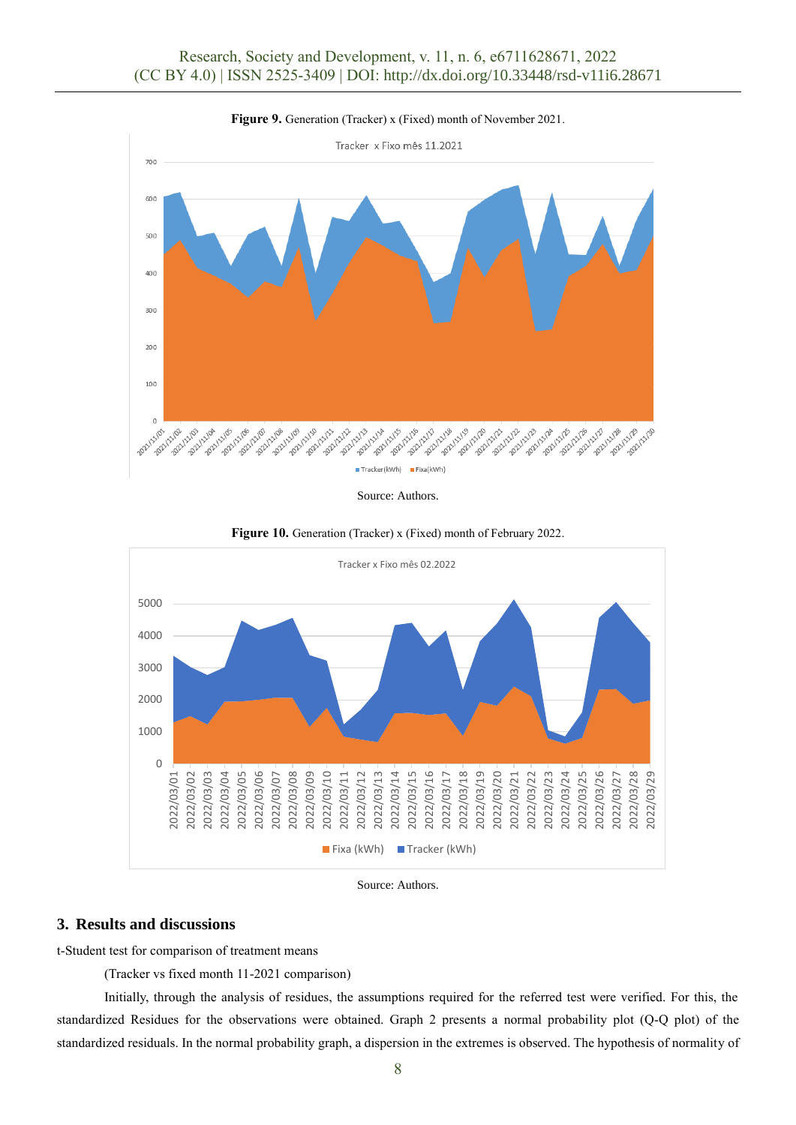

**Figure 9.** Generation (Tracker) x (Fixed) month of November 2021.

Source: Authors.



**Figure 10.** Generation (Tracker) x (Fixed) month of February 2022.

Source: Authors.

## **3. Results and discussions**

t-Student test for comparison of treatment means

(Tracker vs fixed month 11-2021 comparison)

Initially, through the analysis of residues, the assumptions required for the referred test were verified. For this, the standardized Residues for the observations were obtained. Graph 2 presents a normal probability plot (Q-Q plot) of the standardized residuals. In the normal probability graph, a dispersion in the extremes is observed. The hypothesis of normality of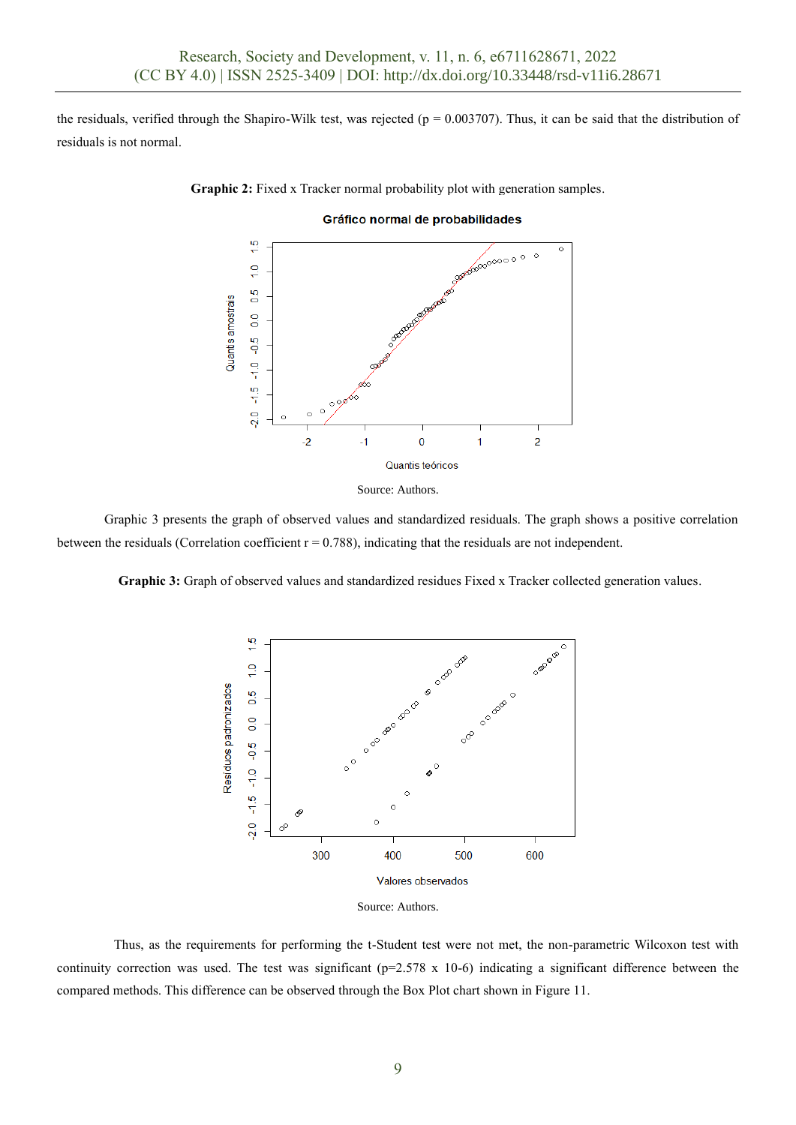the residuals, verified through the Shapiro-Wilk test, was rejected ( $p = 0.003707$ ). Thus, it can be said that the distribution of residuals is not normal.

**Graphic 2:** Fixed x Tracker normal probability plot with generation samples.



#### Gráfico normal de probabilidades



Graphic 3 presents the graph of observed values and standardized residuals. The graph shows a positive correlation between the residuals (Correlation coefficient  $r = 0.788$ ), indicating that the residuals are not independent.

Graphic 3: Graph of observed values and standardized residues Fixed x Tracker collected generation values.



Source: Authors.

Thus, as the requirements for performing the t-Student test were not met, the non-parametric Wilcoxon test with continuity correction was used. The test was significant ( $p=2.578 \times 10^{-6}$ ) indicating a significant difference between the compared methods. This difference can be observed through the Box Plot chart shown in Figure 11.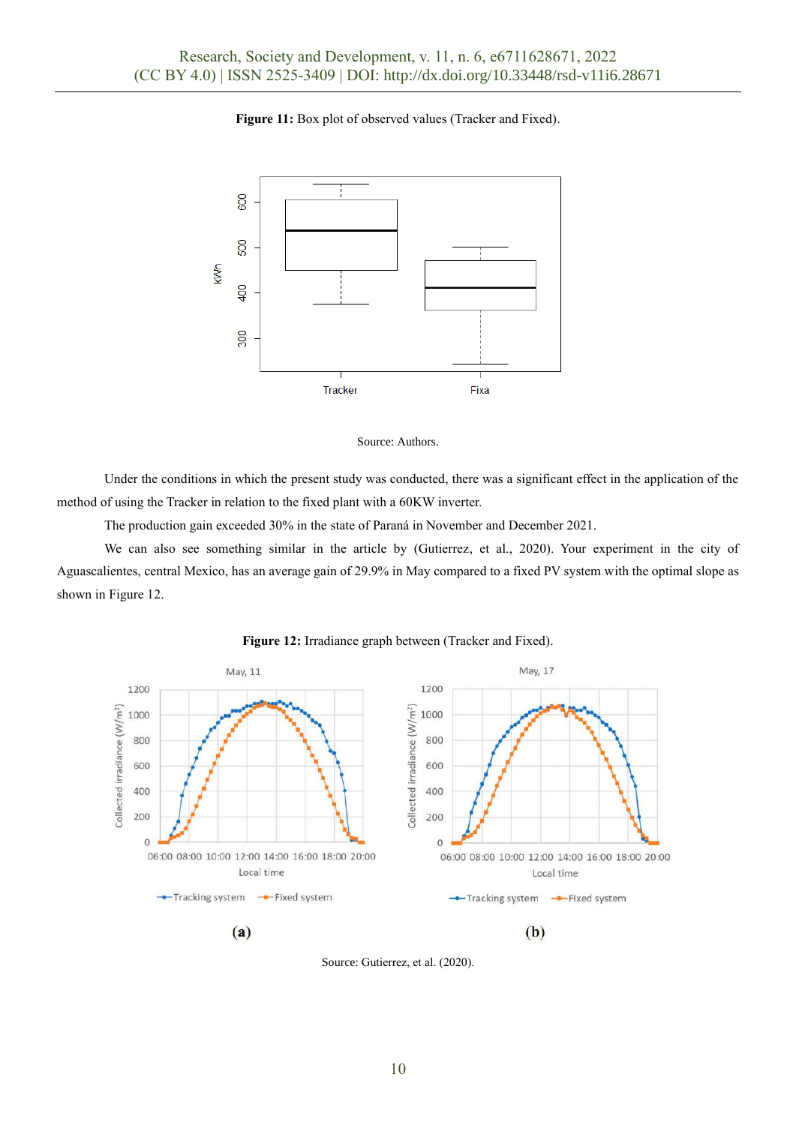### **Figure 11:** Box plot of observed values (Tracker and Fixed).





Under the conditions in which the present study was conducted, there was a significant effect in the application of the method of using the Tracker in relation to the fixed plant with a 60KW inverter.

The production gain exceeded 30% in the state of Paraná in November and December 2021.

We can also see something similar in the article by (Gutierrez, et al., 2020). Your experiment in the city of Aguascalientes, central Mexico, has an average gain of 29.9% in May compared to a fixed PV system with the optimal slope as shown in Figure 12.



**Figure 12:** Irradiance graph between (Tracker and Fixed).

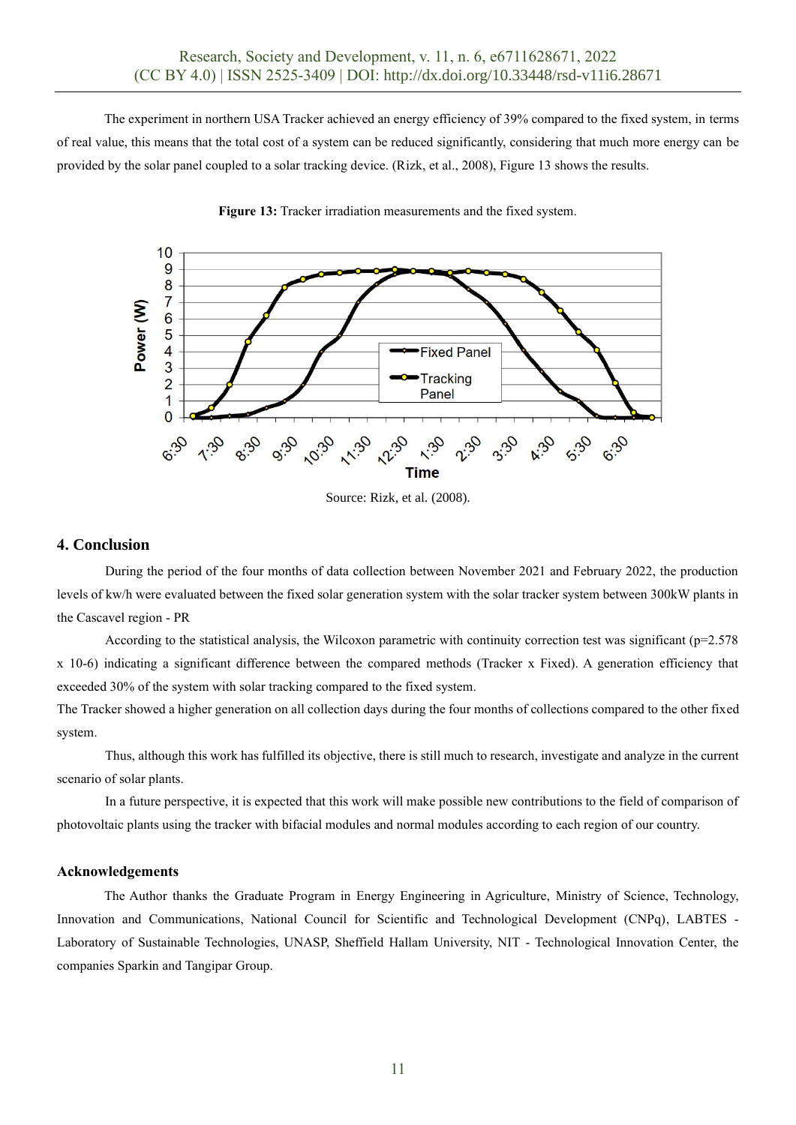The experiment in northern USA Tracker achieved an energy efficiency of 39% compared to the fixed system, in terms of real value, this means that the total cost of a system can be reduced significantly, considering that much more energy can be provided by the solar panel coupled to a solar tracking device. (Rizk, et al., 2008), Figure 13 shows the results.



**Figure 13:** Tracker irradiation measurements and the fixed system.

Source: Rizk, et al. (2008).

#### **4. Conclusion**

During the period of the four months of data collection between November 2021 and February 2022, the production levels of kw/h were evaluated between the fixed solar generation system with the solar tracker system between 300kW plants in the Cascavel region - PR

According to the statistical analysis, the Wilcoxon parametric with continuity correction test was significant (p=2.578 x 10-6) indicating a significant difference between the compared methods (Tracker x Fixed). A generation efficiency that exceeded 30% of the system with solar tracking compared to the fixed system.

The Tracker showed a higher generation on all collection days during the four months of collections compared to the other fixed system.

Thus, although this work has fulfilled its objective, there is still much to research, investigate and analyze in the current scenario of solar plants.

In a future perspective, it is expected that this work will make possible new contributions to the field of comparison of photovoltaic plants using the tracker with bifacial modules and normal modules according to each region of our country.

#### **Acknowledgements**

The Author thanks the Graduate Program in Energy Engineering in Agriculture, Ministry of Science, Technology, Innovation and Communications, National Council for Scientific and Technological Development (CNPq), LABTES - Laboratory of Sustainable Technologies, UNASP, Sheffield Hallam University, NIT - Technological Innovation Center, the companies Sparkin and Tangipar Group.